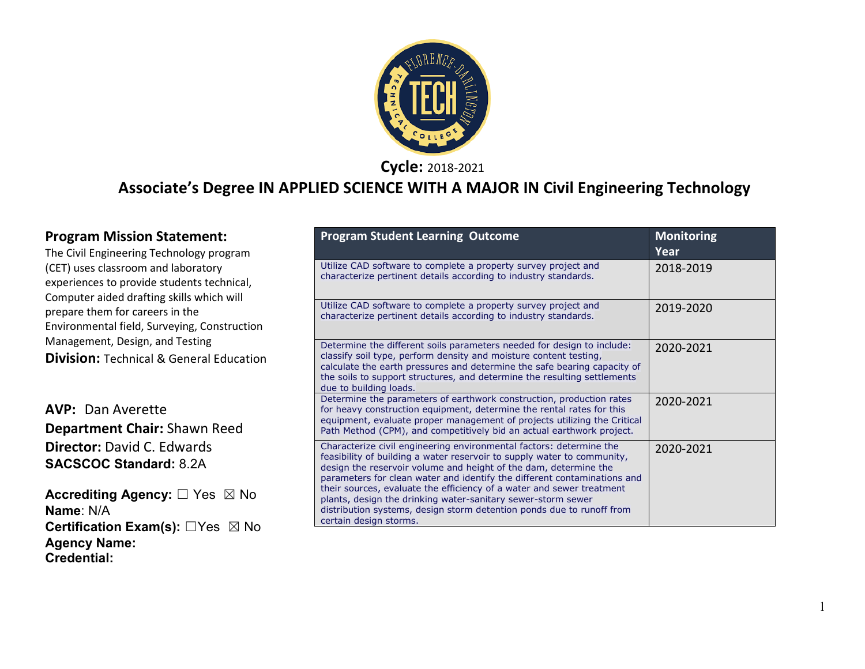

**Cycle:** 2018-2021

### **Associate's Degree IN APPLIED SCIENCE WITH A MAJOR IN Civil Engineering Technology**

| <b>Program Mission Statement:</b>                                                                                              | <b>Program Student Learning Outcome</b>                                                                                                                                                                                                                                                                                                                                 | <b>Monitoring</b> |
|--------------------------------------------------------------------------------------------------------------------------------|-------------------------------------------------------------------------------------------------------------------------------------------------------------------------------------------------------------------------------------------------------------------------------------------------------------------------------------------------------------------------|-------------------|
| The Civil Engineering Technology program                                                                                       |                                                                                                                                                                                                                                                                                                                                                                         | Year              |
| (CET) uses classroom and laboratory<br>experiences to provide students technical,<br>Computer aided drafting skills which will | Utilize CAD software to complete a property survey project and<br>characterize pertinent details according to industry standards.                                                                                                                                                                                                                                       | 2018-2019         |
| prepare them for careers in the<br>Environmental field, Surveying, Construction                                                | Utilize CAD software to complete a property survey project and<br>characterize pertinent details according to industry standards.                                                                                                                                                                                                                                       | 2019-2020         |
| Management, Design, and Testing<br><b>Division: Technical &amp; General Education</b>                                          | Determine the different soils parameters needed for design to include:<br>classify soil type, perform density and moisture content testing,<br>calculate the earth pressures and determine the safe bearing capacity of<br>the soils to support structures, and determine the resulting settlements<br>due to building loads.                                           | 2020-2021         |
| <b>AVP: Dan Averette</b><br>Department Chair: Shawn Reed                                                                       | Determine the parameters of earthwork construction, production rates<br>for heavy construction equipment, determine the rental rates for this<br>equipment, evaluate proper management of projects utilizing the Critical<br>Path Method (CPM), and competitively bid an actual earthwork project.                                                                      | 2020-2021         |
| <b>Director: David C. Edwards</b><br><b>SACSCOC Standard: 8.2A</b>                                                             | Characterize civil engineering environmental factors: determine the<br>feasibility of building a water reservoir to supply water to community,<br>design the reservoir volume and height of the dam, determine the<br>parameters for clean water and identify the different contaminations and<br>their sources, evaluate the efficiency of a water and sewer treatment | 2020-2021         |
| <b>Accrediting Agency:</b> □ Yes ⊠ No<br>Name: N/A                                                                             | plants, design the drinking water-sanitary sewer-storm sewer<br>distribution systems, design storm detention ponds due to runoff from<br>certain design storms.                                                                                                                                                                                                         |                   |

**Certification Exam(s):** ☐Yes ☒ No

**Agency Name: Credential:**

1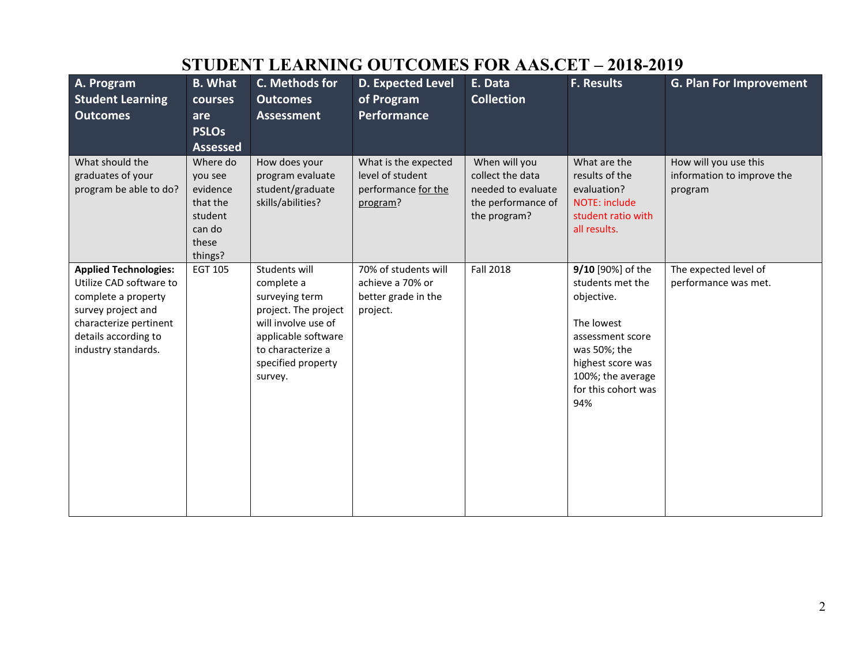| A. Program                                   | <b>B.</b> What      | C. Methods for                              | <b>D. Expected Level</b>                 | E. Data                           | <b>F. Results</b>                        | <b>G. Plan For Improvement</b>                      |
|----------------------------------------------|---------------------|---------------------------------------------|------------------------------------------|-----------------------------------|------------------------------------------|-----------------------------------------------------|
| <b>Student Learning</b>                      | courses             | <b>Outcomes</b>                             | of Program                               | <b>Collection</b>                 |                                          |                                                     |
| <b>Outcomes</b>                              | are                 | <b>Assessment</b>                           | Performance                              |                                   |                                          |                                                     |
|                                              | <b>PSLOs</b>        |                                             |                                          |                                   |                                          |                                                     |
|                                              | <b>Assessed</b>     |                                             |                                          |                                   |                                          |                                                     |
| What should the<br>graduates of your         | Where do<br>you see | How does your<br>program evaluate           | What is the expected<br>level of student | When will you<br>collect the data | What are the<br>results of the           | How will you use this<br>information to improve the |
| program be able to do?                       | evidence            | student/graduate                            | performance for the                      | needed to evaluate                | evaluation?                              | program                                             |
|                                              | that the            | skills/abilities?                           | program?                                 | the performance of                | <b>NOTE: include</b>                     |                                                     |
|                                              | student             |                                             |                                          | the program?                      | student ratio with                       |                                                     |
|                                              | can do              |                                             |                                          |                                   | all results.                             |                                                     |
|                                              | these<br>things?    |                                             |                                          |                                   |                                          |                                                     |
| <b>Applied Technologies:</b>                 | EGT 105             | Students will                               | 70% of students will                     | <b>Fall 2018</b>                  | 9/10 [90%] of the                        | The expected level of                               |
| Utilize CAD software to                      |                     | complete a                                  | achieve a 70% or                         |                                   | students met the                         | performance was met.                                |
| complete a property                          |                     | surveying term                              | better grade in the                      |                                   | objective.                               |                                                     |
| survey project and<br>characterize pertinent |                     | project. The project<br>will involve use of | project.                                 |                                   | The lowest                               |                                                     |
| details according to                         |                     | applicable software                         |                                          |                                   | assessment score                         |                                                     |
| industry standards.                          |                     | to characterize a                           |                                          |                                   | was 50%; the                             |                                                     |
|                                              |                     | specified property                          |                                          |                                   | highest score was                        |                                                     |
|                                              |                     | survey.                                     |                                          |                                   | 100%; the average<br>for this cohort was |                                                     |
|                                              |                     |                                             |                                          |                                   | 94%                                      |                                                     |
|                                              |                     |                                             |                                          |                                   |                                          |                                                     |
|                                              |                     |                                             |                                          |                                   |                                          |                                                     |
|                                              |                     |                                             |                                          |                                   |                                          |                                                     |
|                                              |                     |                                             |                                          |                                   |                                          |                                                     |
|                                              |                     |                                             |                                          |                                   |                                          |                                                     |
|                                              |                     |                                             |                                          |                                   |                                          |                                                     |
|                                              |                     |                                             |                                          |                                   |                                          |                                                     |

## **STUDENT LEARNING OUTCOMES FOR AAS.CET – 2018-2019**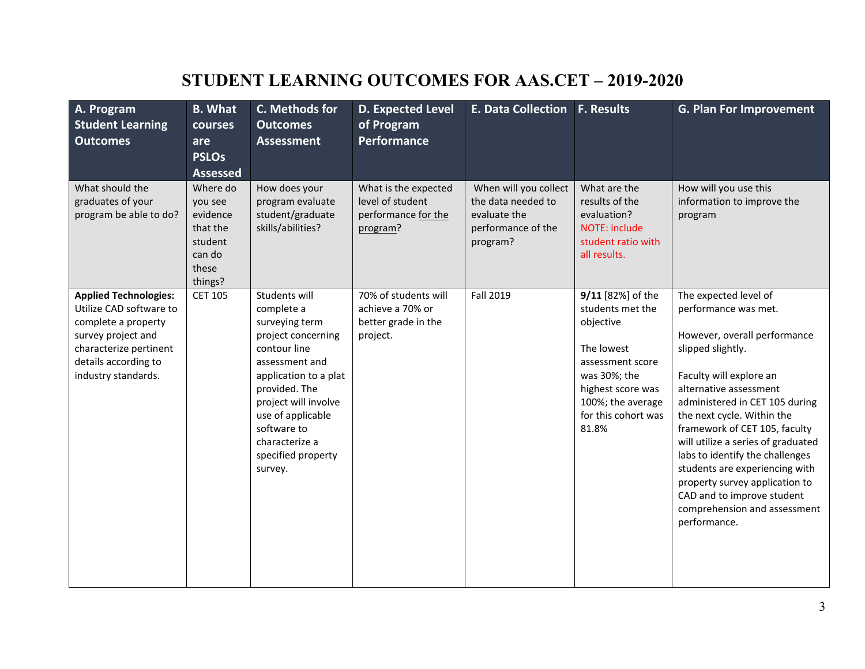## **STUDENT LEARNING OUTCOMES FOR AAS.CET – 2019-2020**

| A. Program<br><b>Student Learning</b><br><b>Outcomes</b>                                                                                                                      | <b>B.</b> What<br>courses<br>are<br><b>PSLOs</b><br><b>Assessed</b>                  | C. Methods for<br><b>Outcomes</b><br><b>Assessment</b>                                                                                                                                                                                                         | <b>D. Expected Level</b><br>of Program<br>Performance                       | <b>E. Data Collection F. Results</b>                                                          |                                                                                                                                                                                | <b>G. Plan For Improvement</b>                                                                                                                                                                                                                                                                                                                                                                                                                                                      |
|-------------------------------------------------------------------------------------------------------------------------------------------------------------------------------|--------------------------------------------------------------------------------------|----------------------------------------------------------------------------------------------------------------------------------------------------------------------------------------------------------------------------------------------------------------|-----------------------------------------------------------------------------|-----------------------------------------------------------------------------------------------|--------------------------------------------------------------------------------------------------------------------------------------------------------------------------------|-------------------------------------------------------------------------------------------------------------------------------------------------------------------------------------------------------------------------------------------------------------------------------------------------------------------------------------------------------------------------------------------------------------------------------------------------------------------------------------|
| What should the<br>graduates of your<br>program be able to do?                                                                                                                | Where do<br>you see<br>evidence<br>that the<br>student<br>can do<br>these<br>things? | How does your<br>program evaluate<br>student/graduate<br>skills/abilities?                                                                                                                                                                                     | What is the expected<br>level of student<br>performance for the<br>program? | When will you collect<br>the data needed to<br>evaluate the<br>performance of the<br>program? | What are the<br>results of the<br>evaluation?<br><b>NOTE: include</b><br>student ratio with<br>all results.                                                                    | How will you use this<br>information to improve the<br>program                                                                                                                                                                                                                                                                                                                                                                                                                      |
| <b>Applied Technologies:</b><br>Utilize CAD software to<br>complete a property<br>survey project and<br>characterize pertinent<br>details according to<br>industry standards. | <b>CET 105</b>                                                                       | Students will<br>complete a<br>surveying term<br>project concerning<br>contour line<br>assessment and<br>application to a plat<br>provided. The<br>project will involve<br>use of applicable<br>software to<br>characterize a<br>specified property<br>survey. | 70% of students will<br>achieve a 70% or<br>better grade in the<br>project. | Fall 2019                                                                                     | 9/11 [82%] of the<br>students met the<br>objective<br>The lowest<br>assessment score<br>was 30%; the<br>highest score was<br>100%; the average<br>for this cohort was<br>81.8% | The expected level of<br>performance was met.<br>However, overall performance<br>slipped slightly.<br>Faculty will explore an<br>alternative assessment<br>administered in CET 105 during<br>the next cycle. Within the<br>framework of CET 105, faculty<br>will utilize a series of graduated<br>labs to identify the challenges<br>students are experiencing with<br>property survey application to<br>CAD and to improve student<br>comprehension and assessment<br>performance. |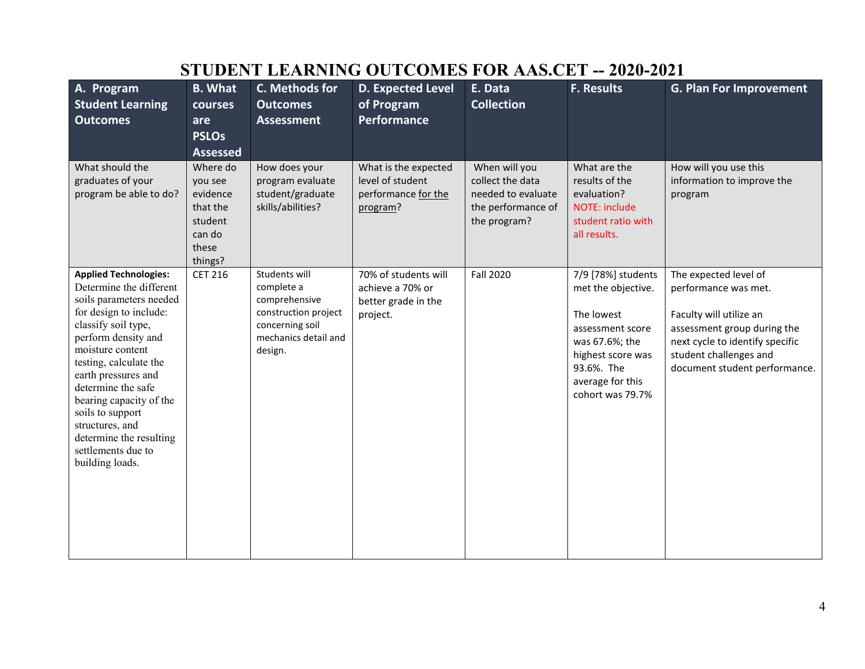| A. Program<br><b>Student Learning</b><br><b>Outcomes</b>                                                                                                                                                                                                                                                                                                                                    | <b>B.</b> What<br>courses<br>are<br><b>PSLOs</b><br><b>Assessed</b>                  | C. Methods for<br><b>Outcomes</b><br><b>Assessment</b>                                                                     | <b>D.</b> Expected Level<br>of Program<br>Performance                       | E. Data<br><b>Collection</b>                                                                  | <b>F. Results</b>                                                                                                                                                       | <b>G. Plan For Improvement</b>                                                                                                                                                                        |
|---------------------------------------------------------------------------------------------------------------------------------------------------------------------------------------------------------------------------------------------------------------------------------------------------------------------------------------------------------------------------------------------|--------------------------------------------------------------------------------------|----------------------------------------------------------------------------------------------------------------------------|-----------------------------------------------------------------------------|-----------------------------------------------------------------------------------------------|-------------------------------------------------------------------------------------------------------------------------------------------------------------------------|-------------------------------------------------------------------------------------------------------------------------------------------------------------------------------------------------------|
| What should the<br>graduates of your<br>program be able to do?                                                                                                                                                                                                                                                                                                                              | Where do<br>you see<br>evidence<br>that the<br>student<br>can do<br>these<br>things? | How does your<br>program evaluate<br>student/graduate<br>skills/abilities?                                                 | What is the expected<br>level of student<br>performance for the<br>program? | When will you<br>collect the data<br>needed to evaluate<br>the performance of<br>the program? | What are the<br>results of the<br>evaluation?<br><b>NOTE: include</b><br>student ratio with<br>all results.                                                             | How will you use this<br>information to improve the<br>program                                                                                                                                        |
| <b>Applied Technologies:</b><br>Determine the different<br>soils parameters needed<br>for design to include:<br>classify soil type,<br>perform density and<br>moisture content<br>testing, calculate the<br>earth pressures and<br>determine the safe<br>bearing capacity of the<br>soils to support<br>structures, and<br>determine the resulting<br>settlements due to<br>building loads. | <b>CET 216</b>                                                                       | Students will<br>complete a<br>comprehensive<br>construction project<br>concerning soil<br>mechanics detail and<br>design. | 70% of students will<br>achieve a 70% or<br>better grade in the<br>project. | <b>Fall 2020</b>                                                                              | 7/9 [78%] students<br>met the objective.<br>The lowest<br>assessment score<br>was 67.6%; the<br>highest score was<br>93.6%. The<br>average for this<br>cohort was 79.7% | The expected level of<br>performance was met.<br>Faculty will utilize an<br>assessment group during the<br>next cycle to identify specific<br>student challenges and<br>document student performance. |

# **STUDENT LEARNING OUTCOMES FOR AAS.CET -- 2020-2021**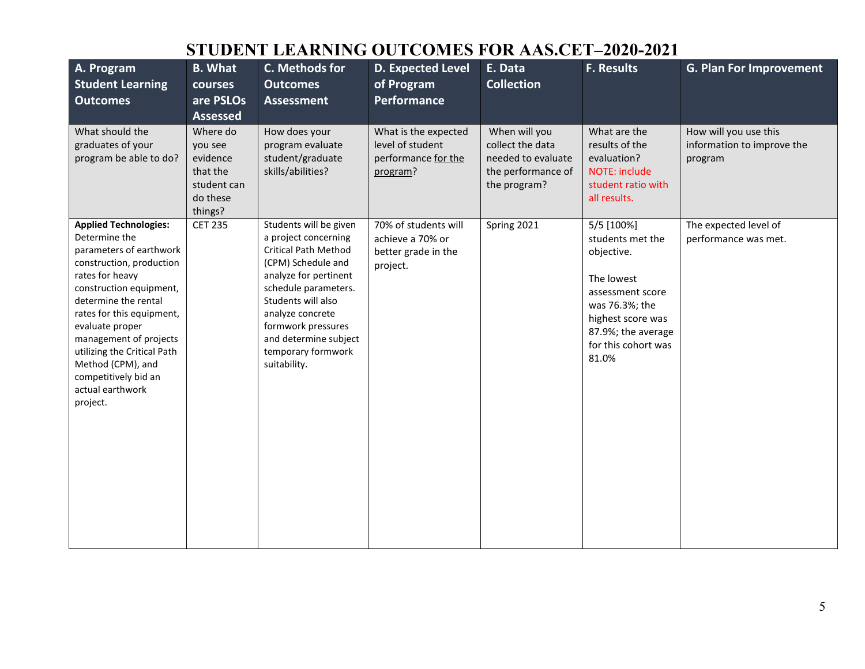## **STUDENT LEARNING OUTCOMES FOR AAS.CET–2020-2021**

| A. Program<br><b>Student Learning</b><br><b>Outcomes</b>                                                                                                                                                                                                                                                                                                         | <b>B.</b> What<br>courses<br>are PSLOs<br><b>Assessed</b>                         | C. Methods for<br><b>Outcomes</b><br><b>Assessment</b>                                                                                                                                                                                                                              | <b>D. Expected Level</b><br>of Program<br><b>Performance</b>                | E. Data<br><b>Collection</b>                                                                  | <b>F. Results</b>                                                                                                                                                           | <b>G. Plan For Improvement</b>                                 |
|------------------------------------------------------------------------------------------------------------------------------------------------------------------------------------------------------------------------------------------------------------------------------------------------------------------------------------------------------------------|-----------------------------------------------------------------------------------|-------------------------------------------------------------------------------------------------------------------------------------------------------------------------------------------------------------------------------------------------------------------------------------|-----------------------------------------------------------------------------|-----------------------------------------------------------------------------------------------|-----------------------------------------------------------------------------------------------------------------------------------------------------------------------------|----------------------------------------------------------------|
| What should the<br>graduates of your<br>program be able to do?                                                                                                                                                                                                                                                                                                   | Where do<br>you see<br>evidence<br>that the<br>student can<br>do these<br>things? | How does your<br>program evaluate<br>student/graduate<br>skills/abilities?                                                                                                                                                                                                          | What is the expected<br>level of student<br>performance for the<br>program? | When will you<br>collect the data<br>needed to evaluate<br>the performance of<br>the program? | What are the<br>results of the<br>evaluation?<br>NOTE: include<br>student ratio with<br>all results.                                                                        | How will you use this<br>information to improve the<br>program |
| <b>Applied Technologies:</b><br>Determine the<br>parameters of earthwork<br>construction, production<br>rates for heavy<br>construction equipment,<br>determine the rental<br>rates for this equipment,<br>evaluate proper<br>management of projects<br>utilizing the Critical Path<br>Method (CPM), and<br>competitively bid an<br>actual earthwork<br>project. | <b>CET 235</b>                                                                    | Students will be given<br>a project concerning<br><b>Critical Path Method</b><br>(CPM) Schedule and<br>analyze for pertinent<br>schedule parameters.<br>Students will also<br>analyze concrete<br>formwork pressures<br>and determine subject<br>temporary formwork<br>suitability. | 70% of students will<br>achieve a 70% or<br>better grade in the<br>project. | Spring 2021                                                                                   | 5/5 [100%]<br>students met the<br>objective.<br>The lowest<br>assessment score<br>was 76.3%; the<br>highest score was<br>87.9%; the average<br>for this cohort was<br>81.0% | The expected level of<br>performance was met.                  |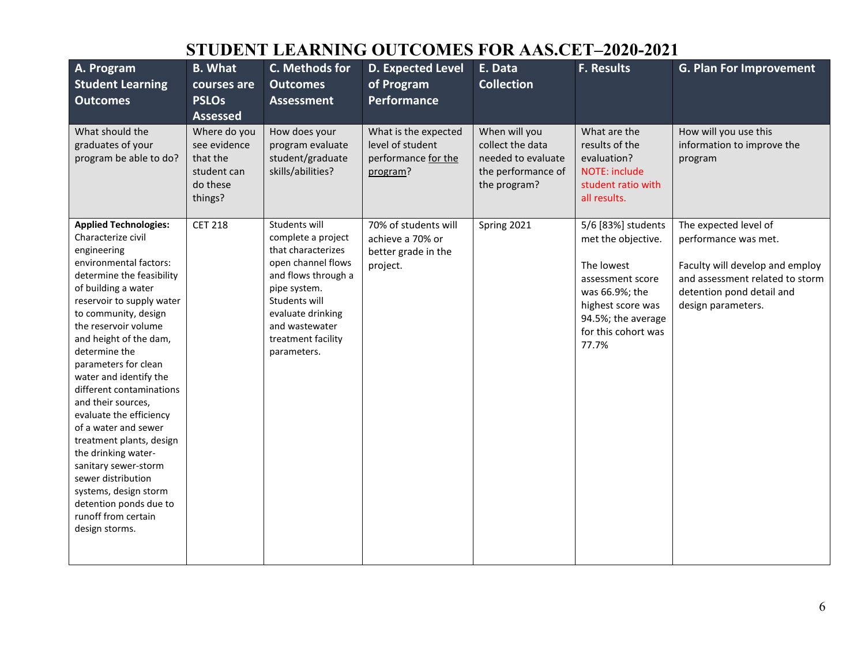## **STUDENT LEARNING OUTCOMES FOR AAS.CET–2020-2021**

| A. Program<br><b>Student Learning</b><br><b>Outcomes</b>                                                                                                                                                                                                                                                                                                                                                                                                                                                                                                                                                                    | <b>B.</b> What<br>courses are<br><b>PSLOs</b><br><b>Assessed</b>               | C. Methods for<br><b>Outcomes</b><br><b>Assessment</b>                                                                                                                                                              | <b>D. Expected Level</b><br>of Program<br><b>Performance</b>                | E. Data<br><b>Collection</b>                                                                  | <b>F. Results</b>                                                                                                                                                       | <b>G. Plan For Improvement</b>                                                                                                                                         |
|-----------------------------------------------------------------------------------------------------------------------------------------------------------------------------------------------------------------------------------------------------------------------------------------------------------------------------------------------------------------------------------------------------------------------------------------------------------------------------------------------------------------------------------------------------------------------------------------------------------------------------|--------------------------------------------------------------------------------|---------------------------------------------------------------------------------------------------------------------------------------------------------------------------------------------------------------------|-----------------------------------------------------------------------------|-----------------------------------------------------------------------------------------------|-------------------------------------------------------------------------------------------------------------------------------------------------------------------------|------------------------------------------------------------------------------------------------------------------------------------------------------------------------|
| What should the<br>graduates of your<br>program be able to do?                                                                                                                                                                                                                                                                                                                                                                                                                                                                                                                                                              | Where do you<br>see evidence<br>that the<br>student can<br>do these<br>things? | How does your<br>program evaluate<br>student/graduate<br>skills/abilities?                                                                                                                                          | What is the expected<br>level of student<br>performance for the<br>program? | When will you<br>collect the data<br>needed to evaluate<br>the performance of<br>the program? | What are the<br>results of the<br>evaluation?<br><b>NOTE: include</b><br>student ratio with<br>all results.                                                             | How will you use this<br>information to improve the<br>program                                                                                                         |
| <b>Applied Technologies:</b><br>Characterize civil<br>engineering<br>environmental factors:<br>determine the feasibility<br>of building a water<br>reservoir to supply water<br>to community, design<br>the reservoir volume<br>and height of the dam,<br>determine the<br>parameters for clean<br>water and identify the<br>different contaminations<br>and their sources,<br>evaluate the efficiency<br>of a water and sewer<br>treatment plants, design<br>the drinking water-<br>sanitary sewer-storm<br>sewer distribution<br>systems, design storm<br>detention ponds due to<br>runoff from certain<br>design storms. | <b>CET 218</b>                                                                 | Students will<br>complete a project<br>that characterizes<br>open channel flows<br>and flows through a<br>pipe system.<br>Students will<br>evaluate drinking<br>and wastewater<br>treatment facility<br>parameters. | 70% of students will<br>achieve a 70% or<br>better grade in the<br>project. | Spring 2021                                                                                   | 5/6 [83%] students<br>met the objective.<br>The lowest<br>assessment score<br>was 66.9%; the<br>highest score was<br>94.5%; the average<br>for this cohort was<br>77.7% | The expected level of<br>performance was met.<br>Faculty will develop and employ<br>and assessment related to storm<br>detention pond detail and<br>design parameters. |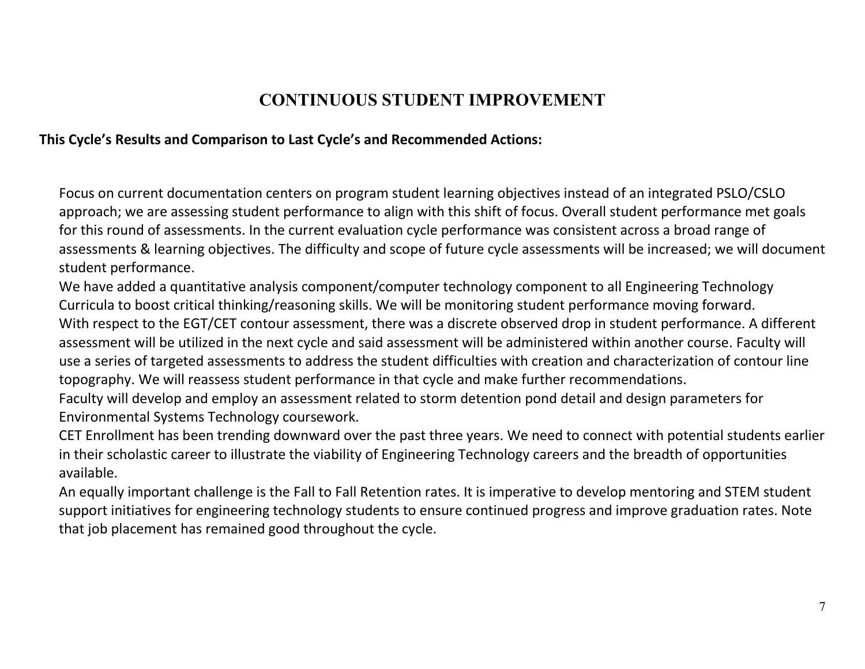## **CONTINUOUS STUDENT IMPROVEMENT**

#### **This Cycle's Results and Comparison to Last Cycle's and Recommended Actions:**

Focus on current documentation centers on program student learning objectives instead of an integrated PSLO/CSLO approach; we are assessing student performance to align with this shift of focus. Overall student performance met goals for this round of assessments. In the current evaluation cycle performance was consistent across a broad range of assessments & learning objectives. The difficulty and scope of future cycle assessments will be increased; we will document student performance.

We have added a quantitative analysis component/computer technology component to all Engineering Technology Curricula to boost critical thinking/reasoning skills. We will be monitoring student performance moving forward. With respect to the EGT/CET contour assessment, there was a discrete observed drop in student performance. A different assessment will be utilized in the next cycle and said assessment will be administered within another course. Faculty will use a series of targeted assessments to address the student difficulties with creation and characterization of contour line topography. We will reassess student performance in that cycle and make further recommendations.

Faculty will develop and employ an assessment related to storm detention pond detail and design parameters for Environmental Systems Technology coursework.

CET Enrollment has been trending downward over the past three years. We need to connect with potential students earlier in their scholastic career to illustrate the viability of Engineering Technology careers and the breadth of opportunities available.

An equally important challenge is the Fall to Fall Retention rates. It is imperative to develop mentoring and STEM student support initiatives for engineering technology students to ensure continued progress and improve graduation rates. Note that job placement has remained good throughout the cycle.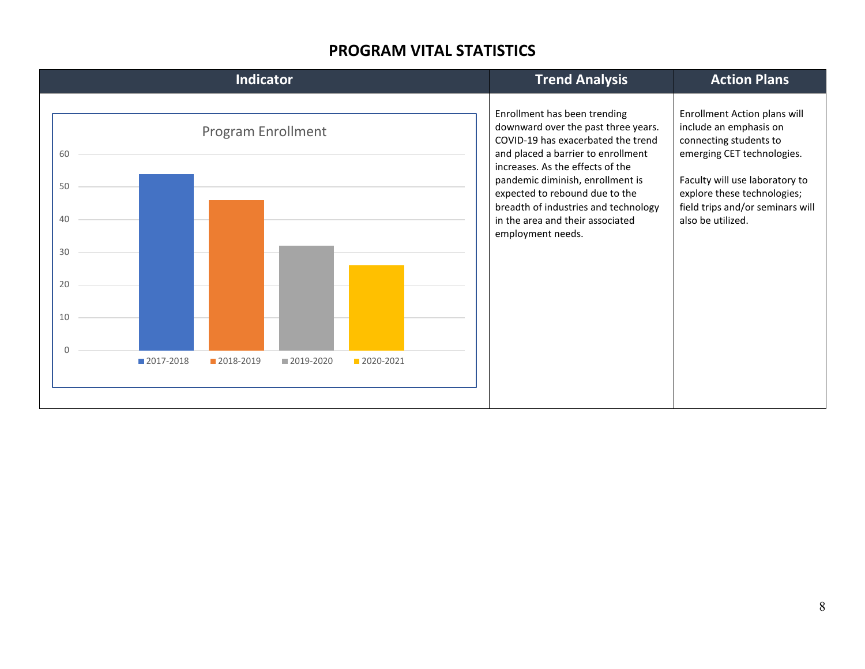#### **PROGRAM VITAL STATISTICS**

| <b>Indicator</b>                                                                                                        | <b>Trend Analysis</b>                                                                                                                                                                                                                                                                                                                                      | <b>Action Plans</b>                                                                                                                                                                                                                      |
|-------------------------------------------------------------------------------------------------------------------------|------------------------------------------------------------------------------------------------------------------------------------------------------------------------------------------------------------------------------------------------------------------------------------------------------------------------------------------------------------|------------------------------------------------------------------------------------------------------------------------------------------------------------------------------------------------------------------------------------------|
| <b>Program Enrollment</b><br>60<br>50<br>40<br>30<br>20<br>10<br>U<br>2017-2018<br>2018-2019<br>■2019-2020<br>2020-2021 | Enrollment has been trending<br>downward over the past three years.<br>COVID-19 has exacerbated the trend<br>and placed a barrier to enrollment<br>increases. As the effects of the<br>pandemic diminish, enrollment is<br>expected to rebound due to the<br>breadth of industries and technology<br>in the area and their associated<br>employment needs. | Enrollment Action plans will<br>include an emphasis on<br>connecting students to<br>emerging CET technologies.<br>Faculty will use laboratory to<br>explore these technologies;<br>field trips and/or seminars will<br>also be utilized. |
|                                                                                                                         |                                                                                                                                                                                                                                                                                                                                                            |                                                                                                                                                                                                                                          |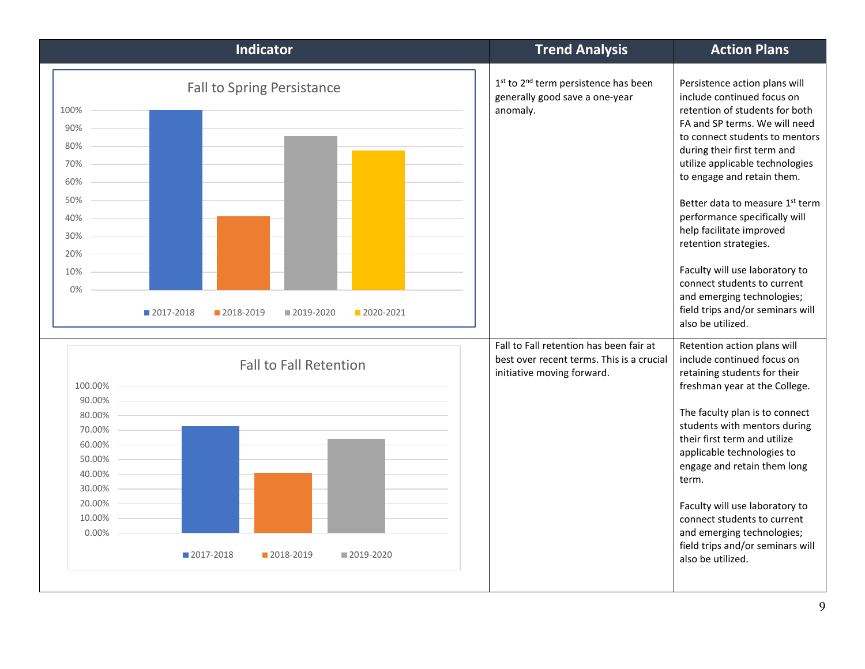| <b>Indicator</b>                                                                                                                                                                       | <b>Trend Analysis</b>                                                                                              | <b>Action Plans</b>                                                                                                                                                                                                                                                                                                                                                                                                                                                                                                                               |
|----------------------------------------------------------------------------------------------------------------------------------------------------------------------------------------|--------------------------------------------------------------------------------------------------------------------|---------------------------------------------------------------------------------------------------------------------------------------------------------------------------------------------------------------------------------------------------------------------------------------------------------------------------------------------------------------------------------------------------------------------------------------------------------------------------------------------------------------------------------------------------|
| <b>Fall to Spring Persistance</b><br>100%<br>90%<br>80%<br>70%<br>60%<br>50%<br>40%<br>30%<br>20%<br>10%<br>0%<br>2017-2018<br>2018-2019<br>2019-2020<br>2020-2021                     | 1 <sup>st</sup> to 2 <sup>nd</sup> term persistence has been<br>generally good save a one-year<br>anomaly.         | Persistence action plans will<br>include continued focus on<br>retention of students for both<br>FA and SP terms. We will need<br>to connect students to mentors<br>during their first term and<br>utilize applicable technologies<br>to engage and retain them.<br>Better data to measure 1st term<br>performance specifically will<br>help facilitate improved<br>retention strategies.<br>Faculty will use laboratory to<br>connect students to current<br>and emerging technologies;<br>field trips and/or seminars will<br>also be utilized. |
| <b>Fall to Fall Retention</b><br>100.00%<br>90.00%<br>80.00%<br>70.00%<br>60.00%<br>50.00%<br>40.00%<br>30.00%<br>20.00%<br>10.00%<br>0.00%<br>■ 2017-2018<br>2018-2019<br>■ 2019-2020 | Fall to Fall retention has been fair at<br>best over recent terms. This is a crucial<br>initiative moving forward. | Retention action plans will<br>include continued focus on<br>retaining students for their<br>freshman year at the College.<br>The faculty plan is to connect<br>students with mentors during<br>their first term and utilize<br>applicable technologies to<br>engage and retain them long<br>term.<br>Faculty will use laboratory to<br>connect students to current<br>and emerging technologies;<br>field trips and/or seminars will<br>also be utilized.                                                                                        |